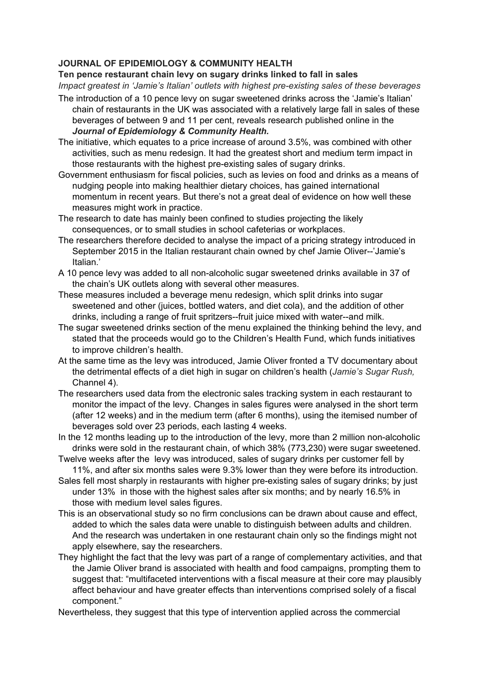## **JOURNAL OF EPIDEMIOLOGY & COMMUNITY HEALTH**

**Ten pence restaurant chain levy on sugary drinks linked to fall in sales** *Impact greatest in 'Jamie's Italian' outlets with highest pre-existing sales of these beverages*

- The introduction of a 10 pence levy on sugar sweetened drinks across the 'Jamie's Italian' chain of restaurants in the UK was associated with a relatively large fall in sales of these beverages of between 9 and 11 per cent, reveals research published online in the *Journal of Epidemiology & Community Health.*
- The initiative, which equates to a price increase of around 3.5%, was combined with other activities, such as menu redesign. It had the greatest short and medium term impact in those restaurants with the highest pre-existing sales of sugary drinks.
- Government enthusiasm for fiscal policies, such as levies on food and drinks as a means of nudging people into making healthier dietary choices, has gained international momentum in recent years. But there's not a great deal of evidence on how well these measures might work in practice.
- The research to date has mainly been confined to studies projecting the likely consequences, or to small studies in school cafeterias or workplaces.
- The researchers therefore decided to analyse the impact of a pricing strategy introduced in September 2015 in the Italian restaurant chain owned by chef Jamie Oliver--'Jamie's Italian.'
- A 10 pence levy was added to all non-alcoholic sugar sweetened drinks available in 37 of the chain's UK outlets along with several other measures.
- These measures included a beverage menu redesign, which split drinks into sugar sweetened and other (juices, bottled waters, and diet cola), and the addition of other drinks, including a range of fruit spritzers--fruit juice mixed with water--and milk.
- The sugar sweetened drinks section of the menu explained the thinking behind the levy, and stated that the proceeds would go to the Children's Health Fund, which funds initiatives to improve children's health.
- At the same time as the levy was introduced, Jamie Oliver fronted a TV documentary about the detrimental effects of a diet high in sugar on children's health (*Jamie's Sugar Rush,* Channel 4).
- The researchers used data from the electronic sales tracking system in each restaurant to monitor the impact of the levy. Changes in sales figures were analysed in the short term (after 12 weeks) and in the medium term (after 6 months), using the itemised number of beverages sold over 23 periods, each lasting 4 weeks.
- In the 12 months leading up to the introduction of the levy, more than 2 million non-alcoholic drinks were sold in the restaurant chain, of which 38% (773,230) were sugar sweetened.
- Twelve weeks after the levy was introduced, sales of sugary drinks per customer fell by 11%, and after six months sales were 9.3% lower than they were before its introduction.
- Sales fell most sharply in restaurants with higher pre-existing sales of sugary drinks; by just under 13% in those with the highest sales after six months; and by nearly 16.5% in those with medium level sales figures.
- This is an observational study so no firm conclusions can be drawn about cause and effect, added to which the sales data were unable to distinguish between adults and children. And the research was undertaken in one restaurant chain only so the findings might not apply elsewhere, say the researchers.
- They highlight the fact that the levy was part of a range of complementary activities, and that the Jamie Oliver brand is associated with health and food campaigns, prompting them to suggest that: "multifaceted interventions with a fiscal measure at their core may plausibly affect behaviour and have greater effects than interventions comprised solely of a fiscal component."
- Nevertheless, they suggest that this type of intervention applied across the commercial